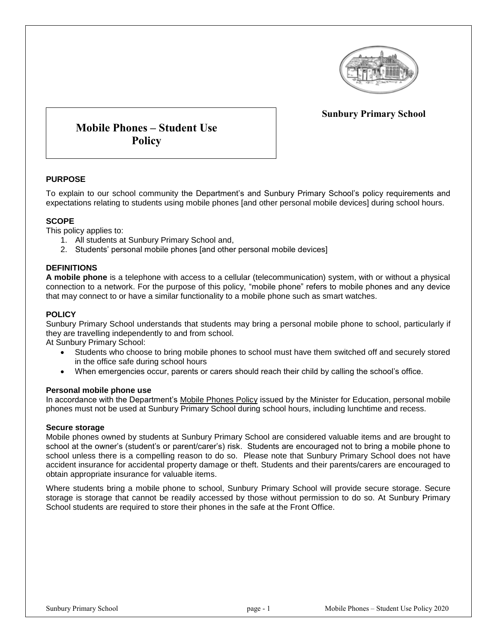

## **Sunbury Primary School**

# **Mobile Phones – Student Use Policy**

### **PURPOSE**

To explain to our school community the Department's and Sunbury Primary School's policy requirements and expectations relating to students using mobile phones [and other personal mobile devices] during school hours.

#### **SCOPE**

This policy applies to:

- 1. All students at Sunbury Primary School and,
- 2. Students' personal mobile phones [and other personal mobile devices]

#### **DEFINITIONS**

**A mobile phone** is a telephone with access to a cellular (telecommunication) system, with or without a physical connection to a network. For the purpose of this policy, "mobile phone" refers to mobile phones and any device that may connect to or have a similar functionality to a mobile phone such as smart watches.

#### **POLICY**

Sunbury Primary School understands that students may bring a personal mobile phone to school, particularly if they are travelling independently to and from school.

At Sunbury Primary School:

- Students who choose to bring mobile phones to school must have them switched off and securely stored in the office safe during school hours
- When emergencies occur, parents or carers should reach their child by calling the school's office.

#### **Personal mobile phone use**

In accordance with the Department's [Mobile Phones Policy](https://www.education.vic.gov.au/school/principals/spag/safety/Pages/mobilephones.aspx) issued by the Minister for Education, personal mobile phones must not be used at Sunbury Primary School during school hours, including lunchtime and recess.

#### **Secure storage**

Mobile phones owned by students at Sunbury Primary School are considered valuable items and are brought to school at the owner's (student's or parent/carer's) risk. Students are encouraged not to bring a mobile phone to school unless there is a compelling reason to do so. Please note that Sunbury Primary School does not have accident insurance for accidental property damage or theft. Students and their parents/carers are encouraged to obtain appropriate insurance for valuable items.

Where students bring a mobile phone to school, Sunbury Primary School will provide secure storage. Secure storage is storage that cannot be readily accessed by those without permission to do so. At Sunbury Primary School students are required to store their phones in the safe at the Front Office.